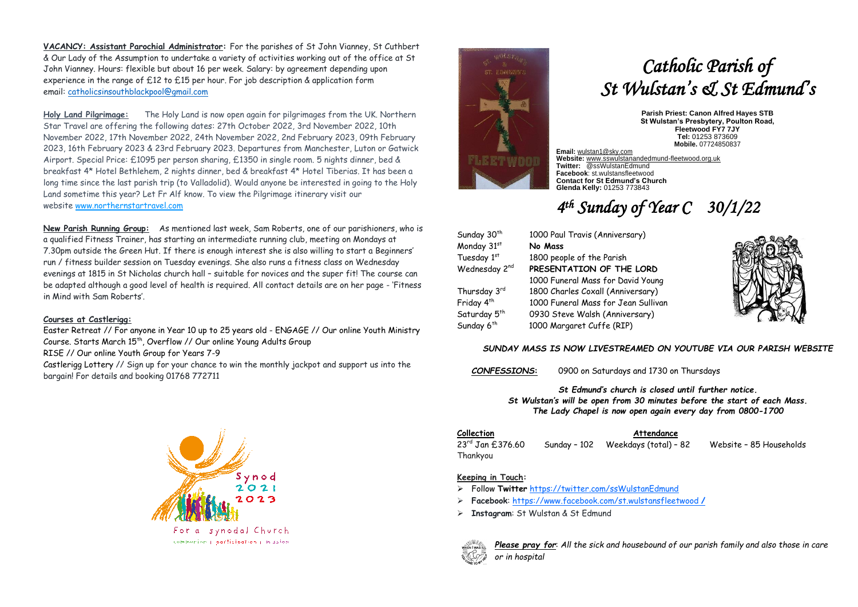**VACANCY: Assistant Parochial Administrator:** For the parishes of St John Vianney, St Cuthbert & Our Lady of the Assumption to undertake a variety of activities working out of the office at St NGELIJohn Vianney. Hours: flexible but about 16 per week. Salary: by agreement depending upon experience in the range of £12 to £15 per hour. For job description & application form email: [catholicsinsouthblackpool@gmail.com](mailto:catholicsinsouthblackpool@gmail.com)

**Holy Land Pilgrimage:** The Holy Land is now open again for pilgrimages from the UK. Northern Star Travel are offering the following dates: 27th October 2022, 3rd November 2022, 10th November 2022, 17th November 2022, 24th November 2022, 2nd February 2023, 09th February 2023, 16th February 2023 & 23rd February 2023. Departures from Manchester, Luton or Gatwick Airport. Special Price: £1095 per person sharing, £1350 in single room. 5 nights dinner, bed & breakfast 4\* Hotel Bethlehem, 2 nights dinner, bed & breakfast 4\* Hotel Tiberias. It has been a long time since the last parish trip (to Valladolid). Would anyone be interested in going to the Holy Land sometime this year? Let Fr Alf know. To view the Pilgrimage itinerary visit our website [www.northernstartravel.com](https://3noes.r.a.d.sendibm1.com/mk/cl/f/iEVNwjKaWTditS4xPmMyxMJzU6Kbkjz9jdyyYTxA1R9pE-7eqoLsJxqhCNhq4W16KJ98CbA0fcuFlnsvaKTOTi52J3-WMv2k5Hd1oQd0AVfj3NX3ekLSe5lIYi94RgdSggH0cuv62ZjjWV1SdAjMO5BELdsRZerpoycq2YiobWNg5tWaOoqBlU4qGJ13I-s1_I0DkitlEMWY9xihYnlnRX_vUiZF9cdD8919GA)

**New Parish Running Group:** As mentioned last week, Sam Roberts, one of our parishioners, who is a qualified Fitness Trainer, has starting an intermediate running club, meeting on Mondays at 7.30pm outside the Green Hut. If there is enough interest she is also willing to start a Beginners' run / fitness builder session on Tuesday evenings. She also runs a fitness class on Wednesday evenings at 1815 in St Nicholas church hall – suitable for novices and the super fit! The course can be adapted although a good level of health is required. All contact details are on her page - 'Fitness in Mind with Sam Roberts'.

### **Courses at Castlerigg:**

[Easter Retreat](https://www.castleriggmanor.co.uk/easter) // For anyone in Year 10 up to 25 years old - [ENGAGE](https://www.castleriggmanor.co.uk/engage) // Our online Youth Ministry Course. Starts March 15<sup>th</sup>, [Overflow](https://www.castleriggmanor.co.uk/overflow) // Our online Young Adults Group [RISE](https://www.castleriggmanor.co.uk/riseonline) // Our online Youth Group for Years 7-9 [Castlerigg Lottery](https://www.castleriggmanor.co.uk/lottery) // Sign up for your chance to win the monthly jackpot and support us into the bargain! For details and booking 01768 772711





# *Catholic Parish of St Wulstan's & St Edmund's*

**Parish Priest: Canon Alfred Hayes STB St Wulstan's Presbytery, Poulton Road, Fleetwood FY7 7JY Tel:** 01253 873609 **Mobile.** 07724850837

**Email:** [wulstan1@sky.com](mailto:wulstan1@sky.com) **Website:** [www.sswulstanandedmund-fleetwood.org.uk](http://www.sswulstanandedmund-fleetwood.org.uk/) **Twitter:** @ssWulstanEdmund **Facebook**: st.wulstansfleetwood **Contact for St Edmund's Church Glenda Kelly:** 01253 773843

## *4 th Sunday of Year C 30/1/22*

| Sunday 30 <sup>th</sup>  | 1000 Paul Travis (Anniversary)      |  |
|--------------------------|-------------------------------------|--|
| Monday 31st              | No Mass                             |  |
| Tuesday 1st              | 1800 people of the Parish           |  |
| Wednesday 2nd            | PRESENTATION OF THE LORD            |  |
|                          | 1000 Funeral Mass for David Young   |  |
| Thursday 3rd             | 1800 Charles Coxall (Anniversary)   |  |
| Friday 4 <sup>th</sup>   | 1000 Funeral Mass for Jean Sullivan |  |
| Saturday 5 <sup>th</sup> | 0930 Steve Walsh (Anniversary)      |  |
| Sunday 6 <sup>th</sup>   | 1000 Margaret Cuffe (RIP)           |  |



### *SUNDAY MASS IS NOW LIVESTREAMED ON YOUTUBE VIA OUR PARISH WEBSITE*

*CONFESSIONS***:** 0900 on Saturdays and 1730 on Thursdays

*St Edmund's church is closed until further notice. St Wulstan's will be open from 30 minutes before the start of each Mass. The Lady Chapel is now open again every day from 0800-1700*

Thankyou

**Collection Attendance**

23rd Jan £376.60 Sunday – 102 Weekdays (total) – 82 Website – 85 Households

### **Keeping in Touch:**

- ➢ Follow **Twitter** <https://twitter.com/ssWulstanEdmund>
- ➢ **Facebook**: https://www.facebook.com/st.wulstansfleetwood **/**
- ➢ **Instagram**: St Wulstan & St Edmund



*Please pray for*: *All the sick and housebound of our parish family and also those in care or in hospital*